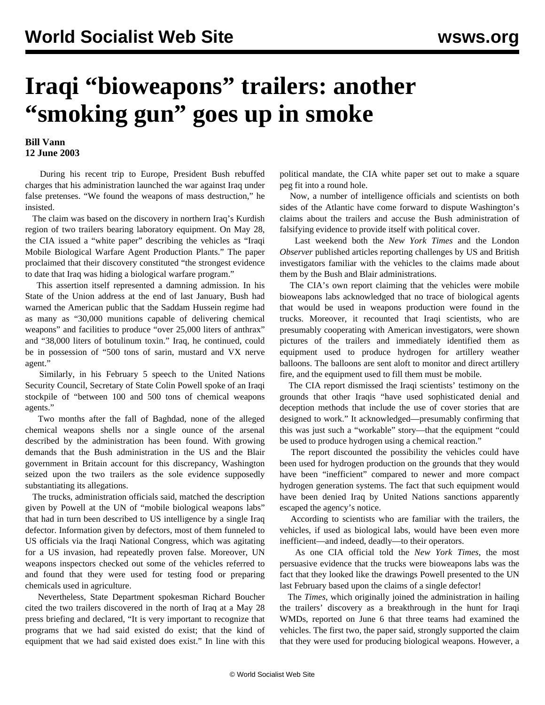## **Iraqi "bioweapons" trailers: another "smoking gun" goes up in smoke**

## **Bill Vann 12 June 2003**

 During his recent trip to Europe, President Bush rebuffed charges that his administration launched the war against Iraq under false pretenses. "We found the weapons of mass destruction," he insisted.

 The claim was based on the discovery in northern Iraq's Kurdish region of two trailers bearing laboratory equipment. On May 28, the CIA issued a "white paper" describing the vehicles as "Iraqi Mobile Biological Warfare Agent Production Plants." The paper proclaimed that their discovery constituted "the strongest evidence to date that Iraq was hiding a biological warfare program."

 This assertion itself represented a damning admission. In his State of the Union address at the end of last January, Bush had warned the American public that the Saddam Hussein regime had as many as "30,000 munitions capable of delivering chemical weapons" and facilities to produce "over 25,000 liters of anthrax" and "38,000 liters of botulinum toxin." Iraq, he continued, could be in possession of "500 tons of sarin, mustard and VX nerve agent."

 Similarly, in his February 5 speech to the United Nations Security Council, Secretary of State Colin Powell spoke of an Iraqi stockpile of "between 100 and 500 tons of chemical weapons agents."

 Two months after the fall of Baghdad, none of the alleged chemical weapons shells nor a single ounce of the arsenal described by the administration has been found. With growing demands that the Bush administration in the US and the Blair government in Britain account for this discrepancy, Washington seized upon the two trailers as the sole evidence supposedly substantiating its allegations.

 The trucks, administration officials said, matched the description given by Powell at the UN of "mobile biological weapons labs" that had in turn been described to US intelligence by a single Iraq defector. Information given by defectors, most of them funneled to US officials via the Iraqi National Congress, which was agitating for a US invasion, had repeatedly proven false. Moreover, UN weapons inspectors checked out some of the vehicles referred to and found that they were used for testing food or preparing chemicals used in agriculture.

 Nevertheless, State Department spokesman Richard Boucher cited the two trailers discovered in the north of Iraq at a May 28 press briefing and declared, "It is very important to recognize that programs that we had said existed do exist; that the kind of equipment that we had said existed does exist." In line with this

political mandate, the CIA white paper set out to make a square peg fit into a round hole.

 Now, a number of intelligence officials and scientists on both sides of the Atlantic have come forward to dispute Washington's claims about the trailers and accuse the Bush administration of falsifying evidence to provide itself with political cover.

 Last weekend both the *New York Times* and the London *Observer* published articles reporting challenges by US and British investigators familiar with the vehicles to the claims made about them by the Bush and Blair administrations.

 The CIA's own report claiming that the vehicles were mobile bioweapons labs acknowledged that no trace of biological agents that would be used in weapons production were found in the trucks. Moreover, it recounted that Iraqi scientists, who are presumably cooperating with American investigators, were shown pictures of the trailers and immediately identified them as equipment used to produce hydrogen for artillery weather balloons. The balloons are sent aloft to monitor and direct artillery fire, and the equipment used to fill them must be mobile.

 The CIA report dismissed the Iraqi scientists' testimony on the grounds that other Iraqis "have used sophisticated denial and deception methods that include the use of cover stories that are designed to work." It acknowledged—presumably confirming that this was just such a "workable" story—that the equipment "could be used to produce hydrogen using a chemical reaction."

 The report discounted the possibility the vehicles could have been used for hydrogen production on the grounds that they would have been "inefficient" compared to newer and more compact hydrogen generation systems. The fact that such equipment would have been denied Iraq by United Nations sanctions apparently escaped the agency's notice.

 According to scientists who are familiar with the trailers, the vehicles, if used as biological labs, would have been even more inefficient—and indeed, deadly—to their operators.

 As one CIA official told the *New York Times*, the most persuasive evidence that the trucks were bioweapons labs was the fact that they looked like the drawings Powell presented to the UN last February based upon the claims of a single defector!

 The *Times*, which originally joined the administration in hailing the trailers' discovery as a breakthrough in the hunt for Iraqi WMDs, reported on June 6 that three teams had examined the vehicles. The first two, the paper said, strongly supported the claim that they were used for producing biological weapons. However, a